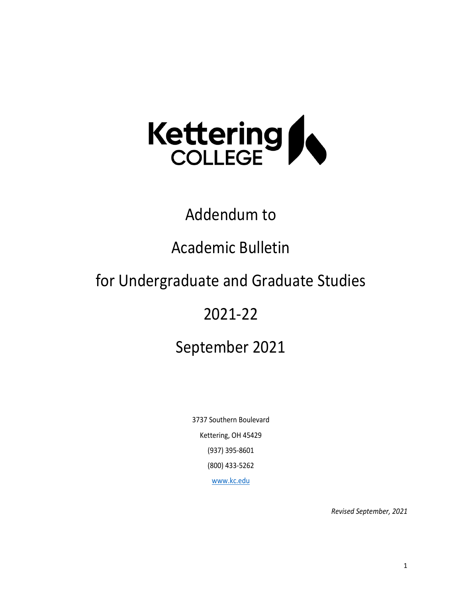

# Addendum to

# Academic Bulletin

# for Undergraduate and Graduate Studies

# 2021-22

# September 2021

3737 Southern Boulevard Kettering, OH 45429 (937) 395-8601 (800) 433-5262 [www.kc.edu](http://www.kc.edu/)

*Revised September, 2021*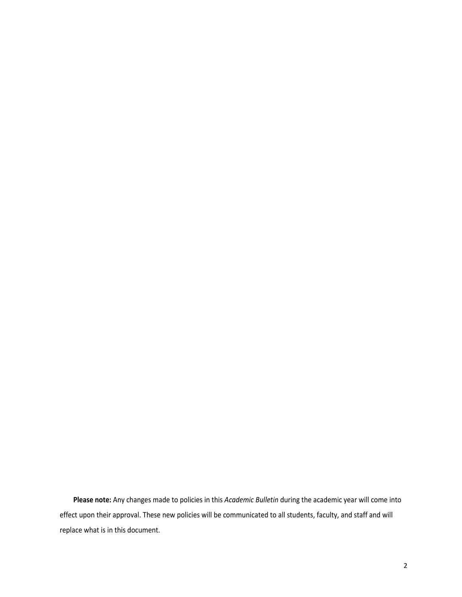**Please note:** Any changes made to policies in this *Academic Bulletin* during the academic year will come into effect upon their approval. These new policies will be communicated to all students, faculty, and staff and will replace what is in this document.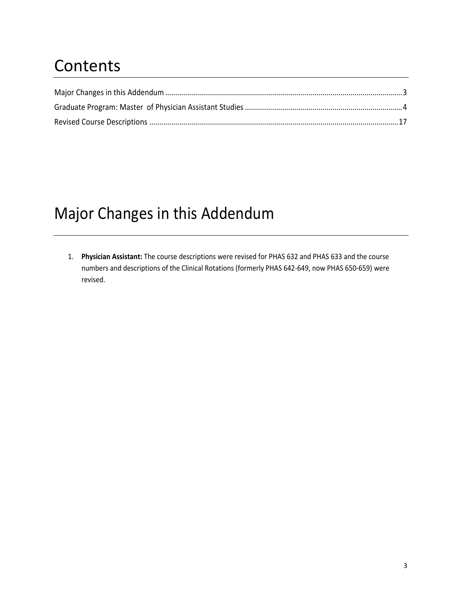# **Contents**

# <span id="page-2-0"></span>Major Changes in this Addendum

1. **Physician Assistant:** The course descriptions were revised for PHAS 632 and PHAS 633 and the course numbers and descriptions of the Clinical Rotations (formerly PHAS 642-649, now PHAS 650-659) were revised.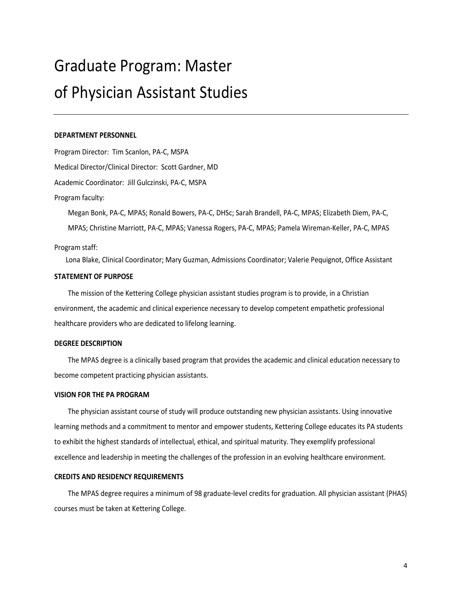# <span id="page-3-0"></span>Graduate Program: Master of Physician Assistant Studies

## **DEPARTMENT PERSONNEL**

Program Director: Tim Scanlon, PA-C, MSPA Medical Director/Clinical Director: Scott Gardner, MD Academic Coordinator: Jill Gulczinski, PA-C, MSPA Program faculty:

Megan Bonk, PA-C, MPAS; Ronald Bowers, PA-C, DHSc; Sarah Brandell, PA-C, MPAS; Elizabeth Diem, PA-C, MPAS; Christine Marriott, PA-C, MPAS; Vanessa Rogers, PA-C, MPAS; Pamela Wireman-Keller, PA-C, MPAS

# Program staff:

Lona Blake, Clinical Coordinator; Mary Guzman, Admissions Coordinator; Valerie Pequignot, Office Assistant

### **STATEMENT OF PURPOSE**

The mission of the Kettering College physician assistant studies program is to provide, in a Christian environment, the academic and clinical experience necessary to develop competent empathetic professional healthcare providers who are dedicated to lifelong learning.

# **DEGREE DESCRIPTION**

The MPAS degree is a clinically based program that provides the academic and clinical education necessary to become competent practicing physician assistants.

# **VISION FOR THE PA PROGRAM**

The physician assistant course of study will produce outstanding new physician assistants. Using innovative learning methods and a commitment to mentor and empower students, Kettering College educates its PA students to exhibit the highest standards of intellectual, ethical, and spiritual maturity. They exemplify professional excellence and leadership in meeting the challenges of the profession in an evolving healthcare environment.

## **CREDITS AND RESIDENCY REQUIREMENTS**

The MPAS degree requires a minimum of 98 graduate-level credits for graduation. All physician assistant (PHAS) courses must be taken at Kettering College.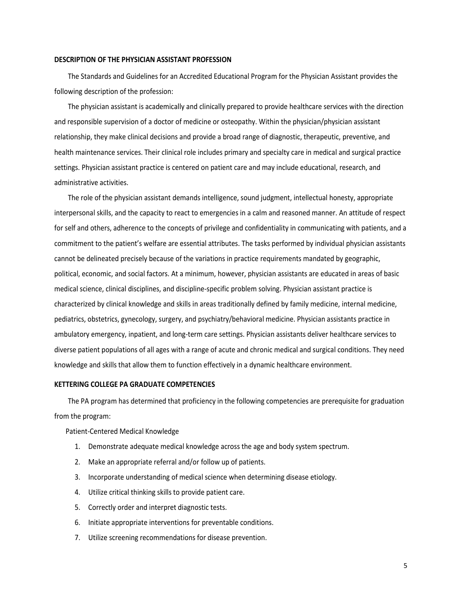### **DESCRIPTION OF THE PHYSICIAN ASSISTANT PROFESSION**

The Standards and Guidelines for an Accredited Educational Program for the Physician Assistant provides the following description of the profession:

The physician assistant is academically and clinically prepared to provide healthcare services with the direction and responsible supervision of a doctor of medicine or osteopathy. Within the physician/physician assistant relationship, they make clinical decisions and provide a broad range of diagnostic, therapeutic, preventive, and health maintenance services. Their clinical role includes primary and specialty care in medical and surgical practice settings. Physician assistant practice is centered on patient care and may include educational, research, and administrative activities.

The role of the physician assistant demands intelligence, sound judgment, intellectual honesty, appropriate interpersonal skills, and the capacity to react to emergencies in a calm and reasoned manner. An attitude of respect for self and others, adherence to the concepts of privilege and confidentiality in communicating with patients, and a commitment to the patient's welfare are essential attributes. The tasks performed by individual physician assistants cannot be delineated precisely because of the variations in practice requirements mandated by geographic, political, economic, and social factors. At a minimum, however, physician assistants are educated in areas of basic medical science, clinical disciplines, and discipline-specific problem solving. Physician assistant practice is characterized by clinical knowledge and skills in areas traditionally defined by family medicine, internal medicine, pediatrics, obstetrics, gynecology, surgery, and psychiatry/behavioral medicine. Physician assistants practice in ambulatory emergency, inpatient, and long-term care settings. Physician assistants deliver healthcare services to diverse patient populations of all ages with a range of acute and chronic medical and surgical conditions. They need knowledge and skills that allow them to function effectively in a dynamic healthcare environment.

## **KETTERING COLLEGE PA GRADUATE COMPETENCIES**

The PA program has determined that proficiency in the following competencies are prerequisite for graduation from the program:

Patient-Centered Medical Knowledge

- 1. Demonstrate adequate medical knowledge across the age and body system spectrum.
- 2. Make an appropriate referral and/or follow up of patients.
- 3. Incorporate understanding of medical science when determining disease etiology.
- 4. Utilize critical thinking skills to provide patient care.
- 5. Correctly order and interpret diagnostic tests.
- 6. Initiate appropriate interventions for preventable conditions.
- 7. Utilize screening recommendations for disease prevention.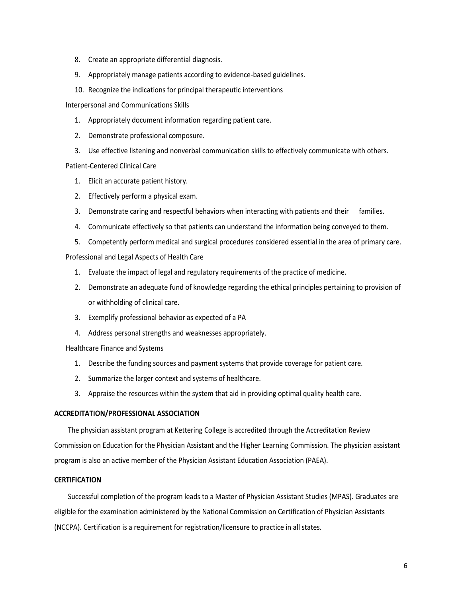- 8. Create an appropriate differential diagnosis.
- 9. Appropriately manage patients according to evidence-based guidelines.
- 10. Recognize the indications for principal therapeutic interventions

Interpersonal and Communications Skills

- 1. Appropriately document information regarding patient care.
- 2. Demonstrate professional composure.
- 3. Use effective listening and nonverbal communication skills to effectively communicate with others.

# Patient-Centered Clinical Care

- 1. Elicit an accurate patient history.
- 2. Effectively perform a physical exam.
- 3. Demonstrate caring and respectful behaviors when interacting with patients and their families.
- 4. Communicate effectively so that patients can understand the information being conveyed to them.
- 5. Competently perform medical and surgical procedures considered essential in the area of primary care.

Professional and Legal Aspects of Health Care

- 1. Evaluate the impact of legal and regulatory requirements of the practice of medicine.
- 2. Demonstrate an adequate fund of knowledge regarding the ethical principles pertaining to provision of or withholding of clinical care.
- 3. Exemplify professional behavior as expected of a PA
- 4. Address personal strengths and weaknesses appropriately.

Healthcare Finance and Systems

- 1. Describe the funding sources and payment systems that provide coverage for patient care.
- 2. Summarize the larger context and systems of healthcare.
- 3. Appraise the resources within the system that aid in providing optimal quality health care.

# **ACCREDITATION/PROFESSIONAL ASSOCIATION**

The physician assistant program at Kettering College is accredited through the Accreditation Review Commission on Education for the Physician Assistant and the Higher Learning Commission. The physician assistant program is also an active member of the Physician Assistant Education Association (PAEA).

# **CERTIFICATION**

Successful completion of the program leads to a Master of Physician Assistant Studies (MPAS). Graduates are eligible for the examination administered by the National Commission on Certification of Physician Assistants (NCCPA). Certification is a requirement for registration/licensure to practice in all states.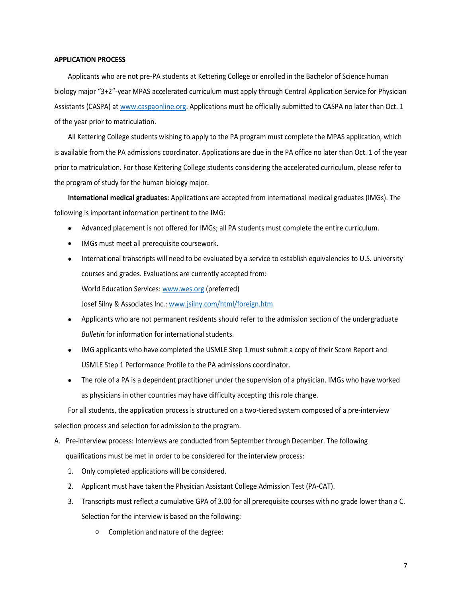## **APPLICATION PROCESS**

Applicants who are not pre-PA students at Kettering College or enrolled in the Bachelor of Science human biology major "3+2"-year MPAS accelerated curriculum must apply through Central Application Service for Physician Assistants (CASPA) at [www.caspaonline.org.](http://www.caspaonline.org/) Applications must be officially submitted to CASPA no later than Oct. 1 of the year prior to matriculation.

All Kettering College students wishing to apply to the PA program must complete the MPAS application, which is available from the PA admissions coordinator. Applications are due in the PA office no later than Oct. 1 of the year prior to matriculation. For those Kettering College students considering the accelerated curriculum, please refer to the program of study for the human biology major.

**International medical graduates:** Applications are accepted from international medical graduates (IMGs). The following is important information pertinent to the IMG:

- Advanced placement is not offered for IMGs; all PA students must complete the entire curriculum.
- IMGs must meet all prerequisite coursework.
- International transcripts will need to be evaluated by a service to establish equivalencies to U.S. university courses and grades. Evaluations are currently accepted from: World Education Services: [www.wes.org](http://www.wes.org/) (preferred) Josef Silny & Associates Inc.: [www.jsilny.com/html/foreign.htm](http://www.jsilny.com/html/foreign.htm)
- Applicants who are not permanent residents should refer to the admission section of the undergraduate *Bulletin* for information for international students.
- IMG applicants who have completed the USMLE Step 1 must submit a copy of their Score Report and USMLE Step 1 Performance Profile to the PA admissions coordinator.
- The role of a PA is a dependent practitioner under the supervision of a physician. IMGs who have worked as physicians in other countries may have difficulty accepting this role change.

For all students, the application process is structured on a two-tiered system composed of a pre-interview selection process and selection for admission to the program.

- A. Pre-interview process: Interviews are conducted from September through December. The following qualifications must be met in order to be considered for the interview process:
	- 1. Only completed applications will be considered.
	- 2. Applicant must have taken the Physician Assistant College Admission Test (PA-CAT).
	- 3. Transcripts must reflect a cumulative GPA of 3.00 for all prerequisite courses with no grade lower than a C. Selection for the interview is based on the following:
		- o Completion and nature of the degree: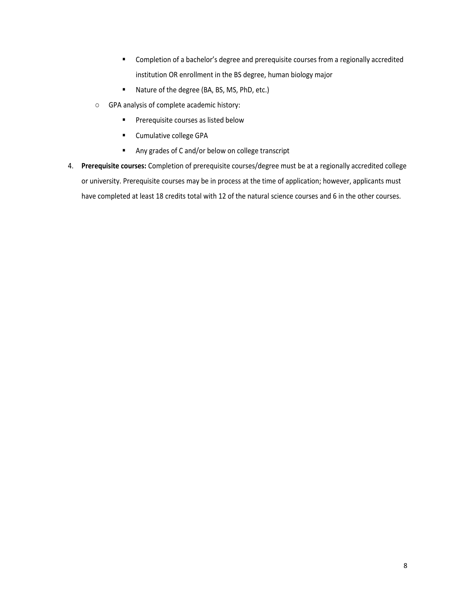- Completion of a bachelor's degree and prerequisite courses from a regionally accredited institution OR enrollment in the BS degree, human biology major
- Nature of the degree (BA, BS, MS, PhD, etc.)
- o GPA analysis of complete academic history:
	- **·** Prerequisite courses as listed below
	- Cumulative college GPA
	- Any grades of C and/or below on college transcript
- 4. **Prerequisite courses:** Completion of prerequisite courses/degree must be at a regionally accredited college or university. Prerequisite courses may be in process at the time of application; however, applicants must have completed at least 18 credits total with 12 of the natural science courses and 6 in the other courses.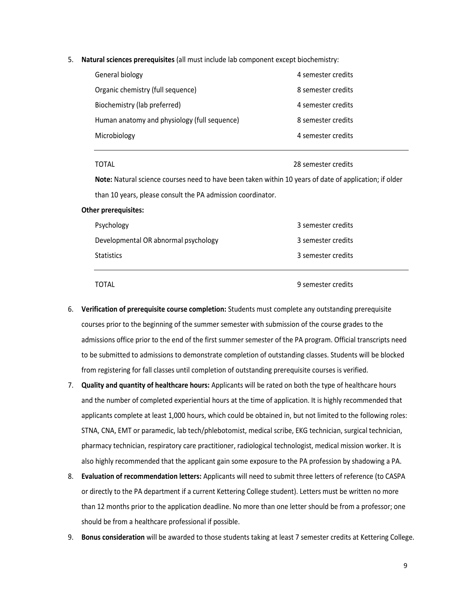5. **Natural sciences prerequisites** (all must include lab component except biochemistry:

| General biology                              | 4 semester credits |
|----------------------------------------------|--------------------|
| Organic chemistry (full sequence)            | 8 semester credits |
| Biochemistry (lab preferred)                 | 4 semester credits |
| Human anatomy and physiology (full sequence) | 8 semester credits |
| Microbiology                                 | 4 semester credits |

TOTAL 28 semester credits

**Note:** Natural science courses need to have been taken within 10 years of date of application; if older than 10 years, please consult the PA admission coordinator.

## **Other prerequisites:**

| Statistics                           | 3 semester credits |
|--------------------------------------|--------------------|
| Developmental OR abnormal psychology | 3 semester credits |
| Psychology                           | 3 semester credits |

TOTAL 9 semester credits

- 6. **Verification of prerequisite course completion:** Students must complete any outstanding prerequisite courses prior to the beginning of the summer semester with submission of the course grades to the admissions office prior to the end of the first summer semester of the PA program. Official transcripts need to be submitted to admissions to demonstrate completion of outstanding classes. Students will be blocked from registering for fall classes until completion of outstanding prerequisite courses is verified.
- 7. **Quality and quantity of healthcare hours:** Applicants will be rated on both the type of healthcare hours and the number of completed experiential hours at the time of application. It is highly recommended that applicants complete at least 1,000 hours, which could be obtained in, but not limited to the following roles: STNA, CNA, EMT or paramedic, lab tech/phlebotomist, medical scribe, EKG technician, surgical technician, pharmacy technician, respiratory care practitioner, radiological technologist, medical mission worker. It is also highly recommended that the applicant gain some exposure to the PA profession by shadowing a PA.
- 8. **Evaluation of recommendation letters:** Applicants will need to submit three letters of reference (to CASPA or directly to the PA department if a current Kettering College student). Letters must be written no more than 12 months prior to the application deadline. No more than one letter should be from a professor; one should be from a healthcare professional if possible.
- 9. **Bonus consideration** will be awarded to those students taking at least 7 semester credits at Kettering College.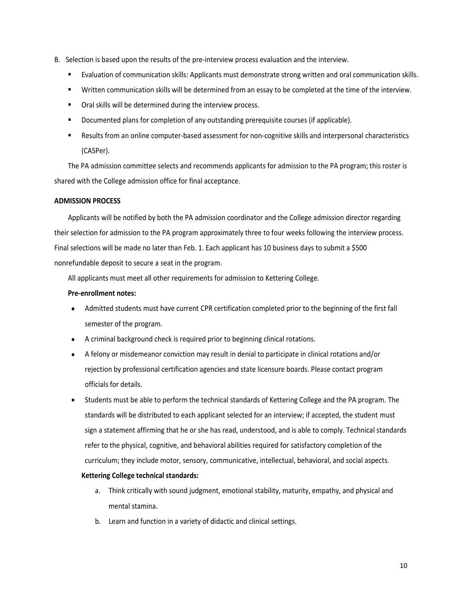- B. Selection is based upon the results of the pre-interview process evaluation and the interview.
	- Evaluation of communication skills: Applicants must demonstrate strong written and oral communication skills.
	- Written communication skills will be determined from an essay to be completed at the time of the interview.
	- Oral skills will be determined during the interview process.
	- **•** Documented plans for completion of any outstanding prerequisite courses (if applicable).
	- Results from an online computer-based assessment for non-cognitive skills and interpersonal characteristics (CASPer).

The PA admission committee selects and recommends applicants for admission to the PA program; this roster is shared with the College admission office for final acceptance.

# **ADMISSION PROCESS**

Applicants will be notified by both the PA admission coordinator and the College admission director regarding their selection for admission to the PA program approximately three to four weeks following the interview process. Final selections will be made no later than Feb. 1. Each applicant has 10 business days to submit a \$500 nonrefundable deposit to secure a seat in the program.

All applicants must meet all other requirements for admission to Kettering College.

# **Pre-enrollment notes:**

- Admitted students must have current CPR certification completed prior to the beginning of the first fall semester of the program.
- A criminal background check is required prior to beginning clinical rotations.
- A felony or misdemeanor conviction may result in denial to participate in clinical rotations and/or rejection by professional certification agencies and state licensure boards. Please contact program officials for details.
- Students must be able to perform the technical standards of Kettering College and the PA program. The standards will be distributed to each applicant selected for an interview; if accepted, the student must sign a statement affirming that he or she has read, understood, and is able to comply. Technical standards refer to the physical, cognitive, and behavioral abilities required for satisfactory completion of the curriculum; they include motor, sensory, communicative, intellectual, behavioral, and social aspects.

# **Kettering College technical standards:**

- a. Think critically with sound judgment, emotional stability, maturity, empathy, and physical and mental stamina.
- b. Learn and function in a variety of didactic and clinical settings.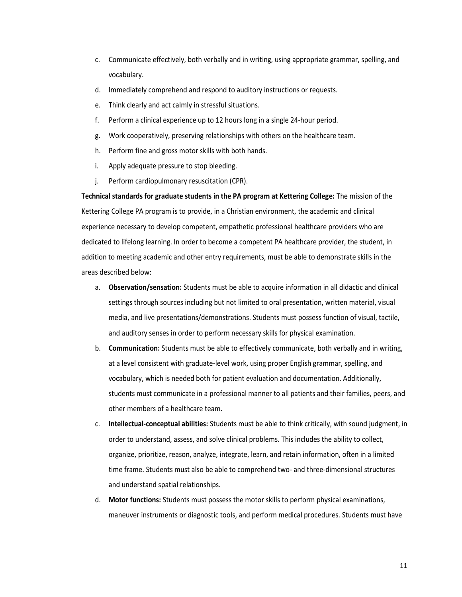- c. Communicate effectively, both verbally and in writing, using appropriate grammar, spelling, and vocabulary.
- d. Immediately comprehend and respond to auditory instructions or requests.
- e. Think clearly and act calmly in stressful situations.
- f. Perform a clinical experience up to 12 hours long in a single 24-hour period.
- g. Work cooperatively, preserving relationships with others on the healthcare team.
- h. Perform fine and gross motor skills with both hands.
- i. Apply adequate pressure to stop bleeding.
- j. Perform cardiopulmonary resuscitation (CPR).

**Technical standards for graduate students in the PA program at Kettering College:** The mission of the Kettering College PA program is to provide, in a Christian environment, the academic and clinical experience necessary to develop competent, empathetic professional healthcare providers who are dedicated to lifelong learning. In order to become a competent PA healthcare provider, the student, in addition to meeting academic and other entry requirements, must be able to demonstrate skills in the areas described below:

- a. **Observation/sensation:** Students must be able to acquire information in all didactic and clinical settings through sources including but not limited to oral presentation, written material, visual media, and live presentations/demonstrations. Students must possess function of visual, tactile, and auditory senses in order to perform necessary skills for physical examination.
- b. **Communication:** Students must be able to effectively communicate, both verbally and in writing, at a level consistent with graduate-level work, using proper English grammar, spelling, and vocabulary, which is needed both for patient evaluation and documentation. Additionally, students must communicate in a professional manner to all patients and their families, peers, and other members of a healthcare team.
- c. **Intellectual-conceptual abilities:** Students must be able to think critically, with sound judgment, in order to understand, assess, and solve clinical problems. This includes the ability to collect, organize, prioritize, reason, analyze, integrate, learn, and retain information, often in a limited time frame. Students must also be able to comprehend two- and three-dimensional structures and understand spatial relationships.
- d. **Motor functions:** Students must possess the motor skills to perform physical examinations, maneuver instruments or diagnostic tools, and perform medical procedures. Students must have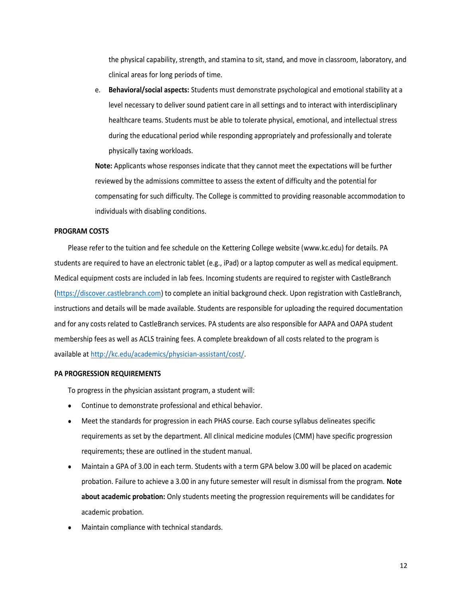the physical capability, strength, and stamina to sit, stand, and move in classroom, laboratory, and clinical areas for long periods of time.

e. **Behavioral/social aspects:** Students must demonstrate psychological and emotional stability at a level necessary to deliver sound patient care in all settings and to interact with interdisciplinary healthcare teams. Students must be able to tolerate physical, emotional, and intellectual stress during the educational period while responding appropriately and professionally and tolerate physically taxing workloads.

**Note:** Applicants whose responses indicate that they cannot meet the expectations will be further reviewed by the admissions committee to assess the extent of difficulty and the potential for compensating for such difficulty. The College is committed to providing reasonable accommodation to individuals with disabling conditions.

## **PROGRAM COSTS**

Please refer to the tuition and fee schedule on the Kettering College website [\(www.kc.edu\)](http://www.kc.edu/) for details. PA students are required to have an electronic tablet (e.g., iPad) or a laptop computer as well as medical equipment. Medical equipment costs are included in lab fees. Incoming students are required to register with CastleBranch [\(https://discover.castlebranch.com\)](https://discover.castlebranch.com/) to complete an initial background check. Upon registration with CastleBranch, instructions and details will be made available. Students are responsible for uploading the required documentation and for any costs related to CastleBranch services. PA students are also responsible for AAPA and OAPA student membership fees as well as ACLS training fees. A complete breakdown of all costs related to the program is available a[t http://kc.edu/academics/physician-assistant/cost/.](http://kc.edu/academics/physician-assistant/cost/)

# **PA PROGRESSION REQUIREMENTS**

To progress in the physician assistant program, a student will:

- Continue to demonstrate professional and ethical behavior.
- Meet the standards for progression in each PHAS course. Each course syllabus delineates specific requirements as set by the department. All clinical medicine modules (CMM) have specific progression requirements; these are outlined in the student manual.
- Maintain a GPA of 3.00 in each term. Students with a term GPA below 3.00 will be placed on academic probation. Failure to achieve a 3.00 in any future semester will result in dismissal from the program. **Note about academic probation:** Only students meeting the progression requirements will be candidates for academic probation.
- Maintain compliance with technical standards.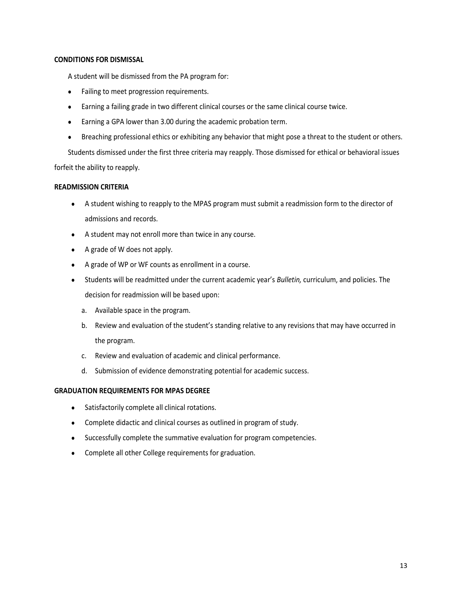# **CONDITIONS FOR DISMISSAL**

A student will be dismissed from the PA program for:

- Failing to meet progression requirements.
- Earning a failing grade in two different clinical courses or the same clinical course twice.
- Earning a GPA lower than 3.00 during the academic probation term.
- Breaching professional ethics or exhibiting any behavior that might pose a threat to the student or others.

Students dismissed under the first three criteria may reapply. Those dismissed for ethical or behavioral issues forfeit the ability to reapply.

# **READMISSION CRITERIA**

- A student wishing to reapply to the MPAS program must submit a readmission form to the director of admissions and records.
- A student may not enroll more than twice in any course.
- A grade of W does not apply.
- A grade of WP or WF counts as enrollment in a course.
- Students will be readmitted under the current academic year's *Bulletin,* curriculum, and policies. The decision for readmission will be based upon:
	- a. Available space in the program.
	- b. Review and evaluation of the student's standing relative to any revisions that may have occurred in the program.
	- c. Review and evaluation of academic and clinical performance.
	- d. Submission of evidence demonstrating potential for academic success.

# **GRADUATION REQUIREMENTS FOR MPAS DEGREE**

- Satisfactorily complete all clinical rotations.
- Complete didactic and clinical courses as outlined in program of study.
- Successfully complete the summative evaluation for program competencies.
- Complete all other College requirements for graduation.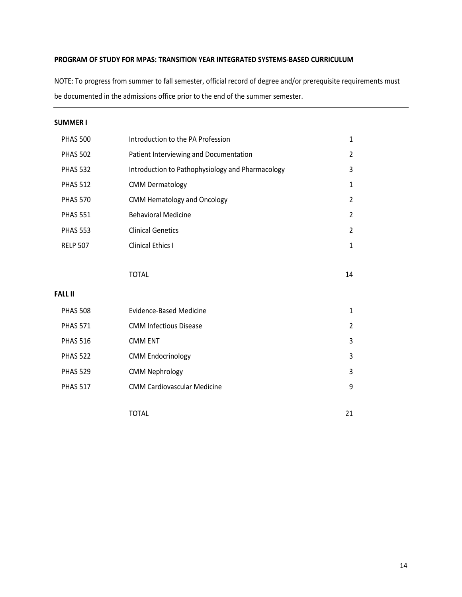# **PROGRAM OF STUDY FOR MPAS: TRANSITION YEAR INTEGRATED SYSTEMS-BASED CURRICULUM**

NOTE: To progress from summer to fall semester, official record of degree and/or prerequisite requirements must be documented in the admissions office prior to the end of the summer semester.

# **SUMMER I**

| <b>PHAS 500</b> | Introduction to the PA Profession                | 1              |
|-----------------|--------------------------------------------------|----------------|
| <b>PHAS 502</b> | Patient Interviewing and Documentation           | $\overline{2}$ |
| <b>PHAS 532</b> | Introduction to Pathophysiology and Pharmacology | 3              |
| <b>PHAS 512</b> | <b>CMM Dermatology</b>                           | 1              |
| <b>PHAS 570</b> | <b>CMM Hematology and Oncology</b>               | $\overline{2}$ |
| <b>PHAS 551</b> | <b>Behavioral Medicine</b>                       | $\overline{2}$ |
| <b>PHAS 553</b> | <b>Clinical Genetics</b>                         | $\overline{2}$ |
| <b>RELP 507</b> | <b>Clinical Ethics I</b>                         | 1              |
|                 |                                                  |                |
|                 | TOTAL                                            | 14             |

# **FALL II**

| <b>PHAS 508</b> | Evidence-Based Medicine            | 1              |
|-----------------|------------------------------------|----------------|
| <b>PHAS 571</b> | <b>CMM Infectious Disease</b>      | $\mathfrak{p}$ |
| <b>PHAS 516</b> | <b>CMM ENT</b>                     | 3              |
| <b>PHAS 522</b> | <b>CMM Endocrinology</b>           | 3              |
| <b>PHAS 529</b> | <b>CMM Nephrology</b>              | 3              |
| <b>PHAS 517</b> | <b>CMM Cardiovascular Medicine</b> | 9              |

TOTAL 21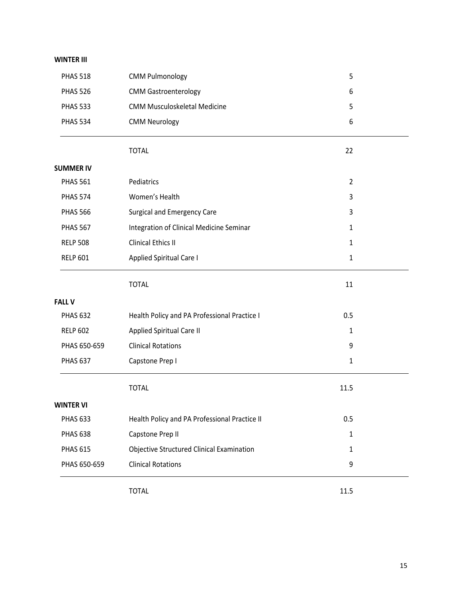# **WINTER III**

| <b>PHAS 518</b>  | <b>CMM Pulmonology</b>                        | 5              |  |
|------------------|-----------------------------------------------|----------------|--|
| <b>PHAS 526</b>  | <b>CMM Gastroenterology</b>                   | 6              |  |
| <b>PHAS 533</b>  | <b>CMM Musculoskeletal Medicine</b>           | 5              |  |
| <b>PHAS 534</b>  | <b>CMM Neurology</b>                          | 6              |  |
|                  | <b>TOTAL</b>                                  | 22             |  |
| <b>SUMMER IV</b> |                                               |                |  |
| <b>PHAS 561</b>  | Pediatrics                                    | $\overline{2}$ |  |
| <b>PHAS 574</b>  | Women's Health                                | 3              |  |
| <b>PHAS 566</b>  | <b>Surgical and Emergency Care</b>            | 3              |  |
| <b>PHAS 567</b>  | Integration of Clinical Medicine Seminar      | 1              |  |
| <b>RELP 508</b>  | <b>Clinical Ethics II</b>                     | $\mathbf{1}$   |  |
| <b>RELP 601</b>  | <b>Applied Spiritual Care I</b>               | $\mathbf{1}$   |  |
|                  | <b>TOTAL</b>                                  | 11             |  |
| <b>FALL V</b>    |                                               |                |  |
| <b>PHAS 632</b>  | Health Policy and PA Professional Practice I  | 0.5            |  |
| <b>RELP 602</b>  | Applied Spiritual Care II                     | 1              |  |
| PHAS 650-659     | <b>Clinical Rotations</b>                     | 9              |  |
| <b>PHAS 637</b>  | Capstone Prep I                               | $\mathbf{1}$   |  |
|                  | <b>TOTAL</b>                                  | 11.5           |  |
| <b>WINTER VI</b> |                                               |                |  |
| <b>PHAS 633</b>  | Health Policy and PA Professional Practice II | 0.5            |  |
| <b>PHAS 638</b>  | Capstone Prep II                              | $\mathbf{1}$   |  |
| <b>PHAS 615</b>  | Objective Structured Clinical Examination     | 1              |  |
| PHAS 650-659     | <b>Clinical Rotations</b>                     | 9              |  |
|                  | <b>TOTAL</b>                                  | 11.5           |  |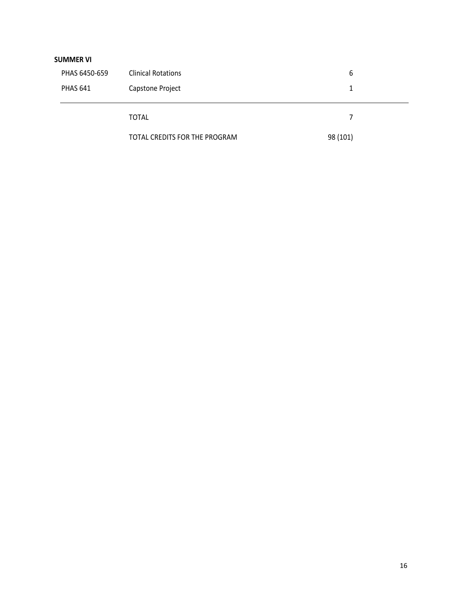# **SUMMER VI**

| PHAS 6450-659   | <b>Clinical Rotations</b>     | 6        |
|-----------------|-------------------------------|----------|
| <b>PHAS 641</b> | Capstone Project              |          |
|                 |                               |          |
|                 | <b>TOTAL</b>                  | 7        |
|                 | TOTAL CREDITS FOR THE PROGRAM | 98 (101) |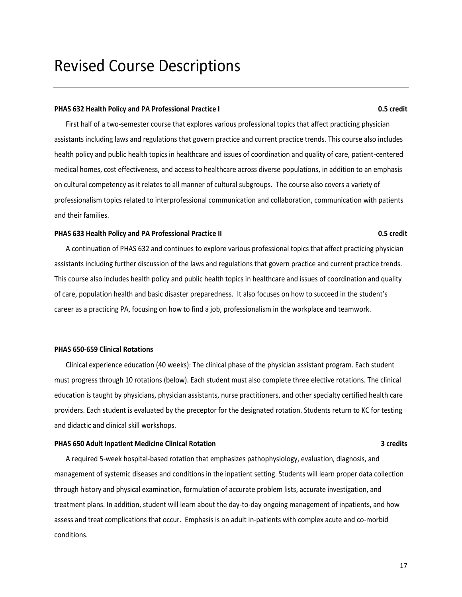# <span id="page-16-0"></span>Revised Course Descriptions

### **PHAS 632 Health Policy and PA Professional Practice I 0.5 credit**

First half of a two-semester course that explores various professional topics that affect practicing physician assistants including laws and regulations that govern practice and current practice trends. This course also includes health policy and public health topics in healthcare and issues of coordination and quality of care, patient-centered medical homes, cost effectiveness, and access to healthcare across diverse populations, in addition to an emphasis on cultural competency as it relates to all manner of cultural subgroups. The course also covers a variety of professionalism topics related to interprofessional communication and collaboration, communication with patients and their families.

## **PHAS 633 Health Policy and PA Professional Practice II 0.5 credit**

A continuation of PHAS 632 and continues to explore various professional topics that affect practicing physician assistants including further discussion of the laws and regulations that govern practice and current practice trends. This course also includes health policy and public health topics in healthcare and issues of coordination and quality of care, population health and basic disaster preparedness. It also focuses on how to succeed in the student's career as a practicing PA, focusing on how to find a job, professionalism in the workplace and teamwork.

## **PHAS 650-659 Clinical Rotations**

Clinical experience education (40 weeks): The clinical phase of the physician assistant program. Each student must progress through 10 rotations (below). Each student must also complete three elective rotations. The clinical education is taught by physicians, physician assistants, nurse practitioners, and other specialty certified health care providers. Each student is evaluated by the preceptor for the designated rotation. Students return to KC for testing and didactic and clinical skill workshops.

## **PHAS 650 Adult Inpatient Medicine Clinical Rotation 3 credits**

A required 5-week hospital-based rotation that emphasizes pathophysiology, evaluation, diagnosis, and management of systemic diseases and conditions in the inpatient setting. Students will learn proper data collection through history and physical examination, formulation of accurate problem lists, accurate investigation, and treatment plans. In addition, student will learn about the day-to-day ongoing management of inpatients, and how assess and treat complications that occur. Emphasis is on adult in-patients with complex acute and co-morbid conditions.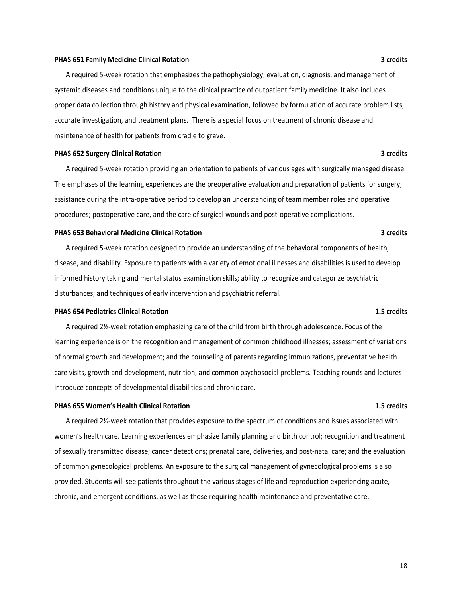### **PHAS 651 Family Medicine Clinical Rotation 3 credits**

A required 5-week rotation that emphasizes the pathophysiology, evaluation, diagnosis, and management of systemic diseases and conditions unique to the clinical practice of outpatient family medicine. It also includes proper data collection through history and physical examination, followed by formulation of accurate problem lists, accurate investigation, and treatment plans. There is a special focus on treatment of chronic disease and maintenance of health for patients from cradle to grave.

### **PHAS 652 Surgery Clinical Rotation 3 credits**

A required 5-week rotation providing an orientation to patients of various ages with surgically managed disease. The emphases of the learning experiences are the preoperative evaluation and preparation of patients for surgery; assistance during the intra-operative period to develop an understanding of team member roles and operative procedures; postoperative care, and the care of surgical wounds and post-operative complications.

### **PHAS 653 Behavioral Medicine Clinical Rotation 3 credits**

A required 5-week rotation designed to provide an understanding of the behavioral components of health, disease, and disability. Exposure to patients with a variety of emotional illnesses and disabilities is used to develop informed history taking and mental status examination skills; ability to recognize and categorize psychiatric disturbances; and techniques of early intervention and psychiatric referral.

## **PHAS 654 Pediatrics Clinical Rotation 1.5 credits**

A required 2½-week rotation emphasizing care of the child from birth through adolescence. Focus of the learning experience is on the recognition and management of common childhood illnesses; assessment of variations of normal growth and development; and the counseling of parents regarding immunizations, preventative health care visits, growth and development, nutrition, and common psychosocial problems. Teaching rounds and lectures introduce concepts of developmental disabilities and chronic care.

### **PHAS 655 Women's Health Clinical Rotation 1.5 credits**

A required 2½-week rotation that provides exposure to the spectrum of conditions and issues associated with women's health care. Learning experiences emphasize family planning and birth control; recognition and treatment of sexually transmitted disease; cancer detections; prenatal care, deliveries, and post-natal care; and the evaluation of common gynecological problems. An exposure to the surgical management of gynecological problems is also provided. Students will see patients throughout the various stages of life and reproduction experiencing acute, chronic, and emergent conditions, as well as those requiring health maintenance and preventative care.

18